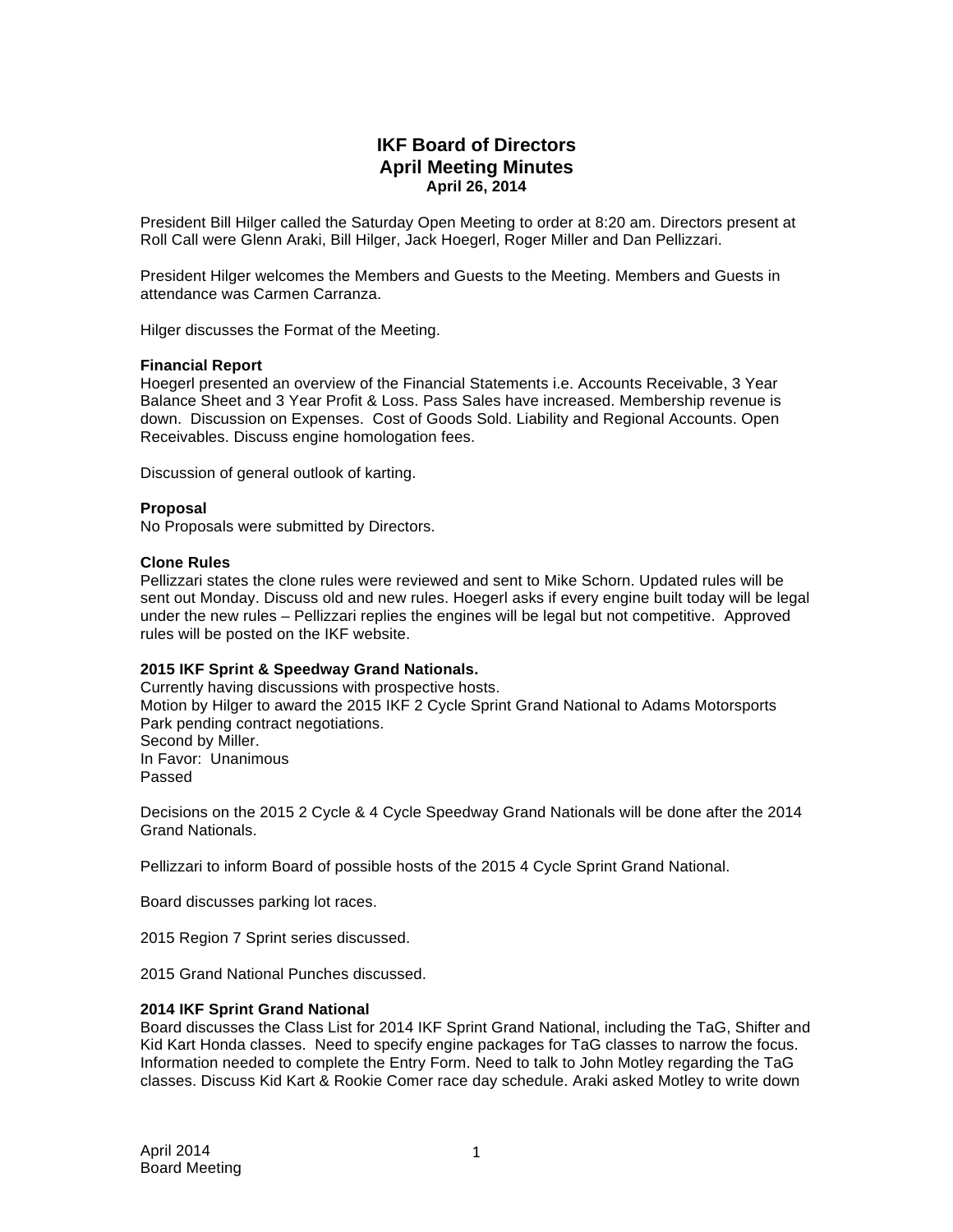# **IKF Board of Directors April Meeting Minutes April 26, 2014**

President Bill Hilger called the Saturday Open Meeting to order at 8:20 am. Directors present at Roll Call were Glenn Araki, Bill Hilger, Jack Hoegerl, Roger Miller and Dan Pellizzari.

President Hilger welcomes the Members and Guests to the Meeting. Members and Guests in attendance was Carmen Carranza.

Hilger discusses the Format of the Meeting.

#### **Financial Report**

Hoegerl presented an overview of the Financial Statements i.e. Accounts Receivable, 3 Year Balance Sheet and 3 Year Profit & Loss. Pass Sales have increased. Membership revenue is down. Discussion on Expenses. Cost of Goods Sold. Liability and Regional Accounts. Open Receivables. Discuss engine homologation fees.

Discussion of general outlook of karting.

#### **Proposal**

No Proposals were submitted by Directors.

#### **Clone Rules**

Pellizzari states the clone rules were reviewed and sent to Mike Schorn. Updated rules will be sent out Monday. Discuss old and new rules. Hoegerl asks if every engine built today will be legal under the new rules – Pellizzari replies the engines will be legal but not competitive. Approved rules will be posted on the IKF website.

## **2015 IKF Sprint & Speedway Grand Nationals.**

Currently having discussions with prospective hosts. Motion by Hilger to award the 2015 IKF 2 Cycle Sprint Grand National to Adams Motorsports Park pending contract negotiations. Second by Miller. In Favor: Unanimous Passed

Decisions on the 2015 2 Cycle & 4 Cycle Speedway Grand Nationals will be done after the 2014 Grand Nationals.

Pellizzari to inform Board of possible hosts of the 2015 4 Cycle Sprint Grand National.

Board discusses parking lot races.

2015 Region 7 Sprint series discussed.

2015 Grand National Punches discussed.

## **2014 IKF Sprint Grand National**

Board discusses the Class List for 2014 IKF Sprint Grand National, including the TaG, Shifter and Kid Kart Honda classes. Need to specify engine packages for TaG classes to narrow the focus. Information needed to complete the Entry Form. Need to talk to John Motley regarding the TaG classes. Discuss Kid Kart & Rookie Comer race day schedule. Araki asked Motley to write down